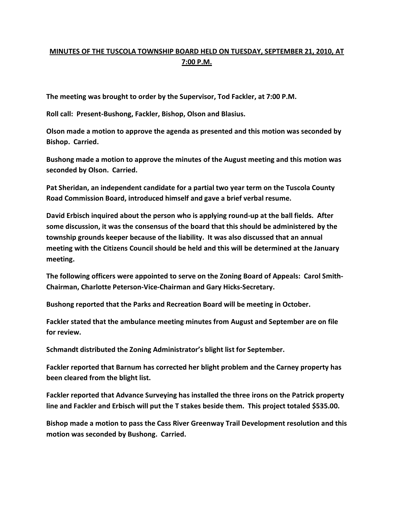## **MINUTES OF THE TUSCOLA TOWNSHIP BOARD HELD ON TUESDAY, SEPTEMBER 21, 2010, AT 7:00 P.M.**

**The meeting was brought to order by the Supervisor, Tod Fackler, at 7:00 P.M.** 

**Roll call: Present-Bushong, Fackler, Bishop, Olson and Blasius.** 

**Olson made a motion to approve the agenda as presented and this motion was seconded by Bishop. Carried.** 

**Bushong made a motion to approve the minutes of the August meeting and this motion was seconded by Olson. Carried.** 

**Pat Sheridan, an independent candidate for a partial two year term on the Tuscola County Road Commission Board, introduced himself and gave a brief verbal resume.** 

**David Erbisch inquired about the person who is applying round-up at the ball fields. After some discussion, it was the consensus of the board that this should be administered by the township grounds keeper because of the liability. It was also discussed that an annual meeting with the Citizens Council should be held and this will be determined at the January meeting.** 

**The following officers were appointed to serve on the Zoning Board of Appeals: Carol Smith-Chairman, Charlotte Peterson-Vice-Chairman and Gary Hicks-Secretary.** 

**Bushong reported that the Parks and Recreation Board will be meeting in October.** 

**Fackler stated that the ambulance meeting minutes from August and September are on file for review.** 

**Schmandt distributed the Zoning Administrator's blight list for September.** 

**Fackler reported that Barnum has corrected her blight problem and the Carney property has been cleared from the blight list.** 

**Fackler reported that Advance Surveying has installed the three irons on the Patrick property line and Fackler and Erbisch will put the T stakes beside them. This project totaled \$535.00.** 

**Bishop made a motion to pass the Cass River Greenway Trail Development resolution and this motion was seconded by Bushong. Carried.**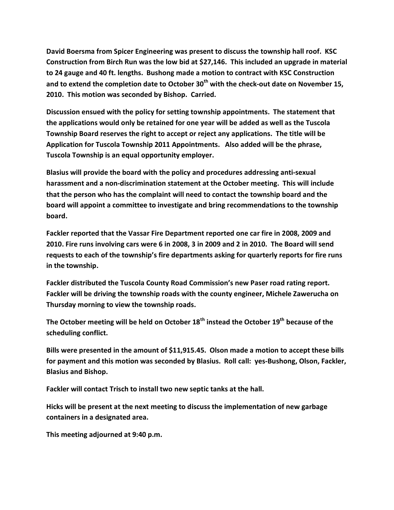**David Boersma from Spicer Engineering was present to discuss the township hall roof. KSC Construction from Birch Run was the low bid at \$27,146. This included an upgrade in material to 24 gauge and 40 ft. lengths. Bushong made a motion to contract with KSC Construction and to extend the completion date to October 30th with the check-out date on November 15, 2010. This motion was seconded by Bishop. Carried.** 

**Discussion ensued with the policy for setting township appointments. The statement that the applications would only be retained for one year will be added as well as the Tuscola Township Board reserves the right to accept or reject any applications. The title will be Application for Tuscola Township 2011 Appointments. Also added will be the phrase, Tuscola Township is an equal opportunity employer.** 

**Blasius will provide the board with the policy and procedures addressing anti-sexual harassment and a non-discrimination statement at the October meeting. This will include that the person who has the complaint will need to contact the township board and the board will appoint a committee to investigate and bring recommendations to the township board.** 

**Fackler reported that the Vassar Fire Department reported one car fire in 2008, 2009 and 2010. Fire runs involving cars were 6 in 2008, 3 in 2009 and 2 in 2010. The Board will send requests to each of the township's fire departments asking for quarterly reports for fire runs in the township.** 

**Fackler distributed the Tuscola County Road Commission's new Paser road rating report. Fackler will be driving the township roads with the county engineer, Michele Zawerucha on Thursday morning to view the township roads.** 

**The October meeting will be held on October 18th instead the October 19th because of the scheduling conflict.** 

**Bills were presented in the amount of \$11,915.45. Olson made a motion to accept these bills for payment and this motion was seconded by Blasius. Roll call: yes-Bushong, Olson, Fackler, Blasius and Bishop.** 

**Fackler will contact Trisch to install two new septic tanks at the hall.** 

**Hicks will be present at the next meeting to discuss the implementation of new garbage containers in a designated area.** 

**This meeting adjourned at 9:40 p.m.**